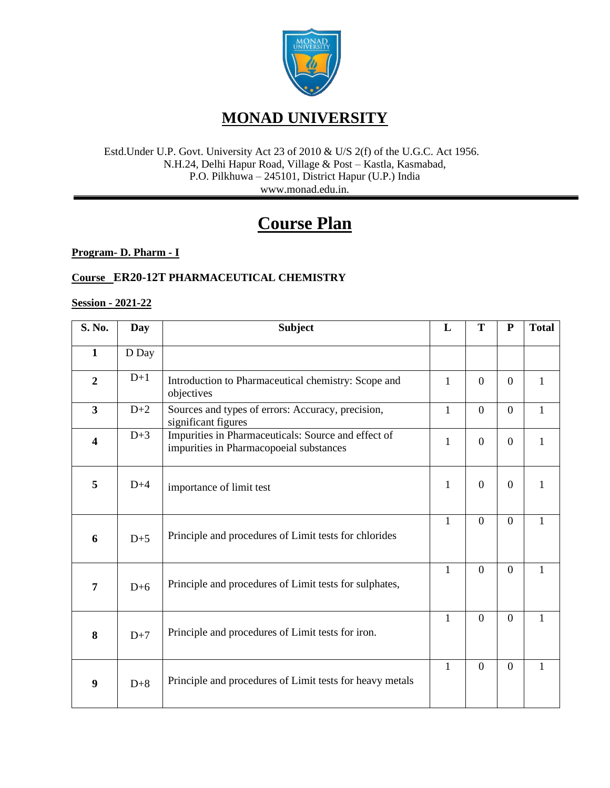

#### Estd.Under U.P. Govt. University Act 23 of 2010 & U/S 2(f) of the U.G.C. Act 1956. N.H.24, Delhi Hapur Road, Village & Post – Kastla, Kasmabad, P.O. Pilkhuwa – 245101, District Hapur (U.P.) India www.monad.edu.in.

# **Course Plan**

**Program- D. Pharm - I**

### **Course ER20-12T PHARMACEUTICAL CHEMISTRY**

#### **Session - 2021-22**

| S. No.                  | Day   | <b>Subject</b>                                                                                 | L            | T              | ${\bf P}$      | <b>Total</b> |
|-------------------------|-------|------------------------------------------------------------------------------------------------|--------------|----------------|----------------|--------------|
| $\mathbf{1}$            | D Day |                                                                                                |              |                |                |              |
| $\overline{2}$          | $D+1$ | Introduction to Pharmaceutical chemistry: Scope and<br>objectives                              | 1            | $\overline{0}$ | $\overline{0}$ | 1            |
| $\overline{\mathbf{3}}$ | $D+2$ | Sources and types of errors: Accuracy, precision,<br>significant figures                       | $\mathbf{1}$ | $\overline{0}$ | $\overline{0}$ | $\mathbf{1}$ |
| $\overline{\mathbf{4}}$ | $D+3$ | Impurities in Pharmaceuticals: Source and effect of<br>impurities in Pharmacopoeial substances | $\mathbf{1}$ | $\overline{0}$ | $\Omega$       | 1            |
| 5                       | $D+4$ | importance of limit test                                                                       | $\mathbf{1}$ | $\overline{0}$ | $\Omega$       | 1            |
| 6                       | $D+5$ | Principle and procedures of Limit tests for chlorides                                          | $\mathbf{1}$ | $\Omega$       | $\theta$       | $\mathbf{1}$ |
| $\overline{7}$          | $D+6$ | Principle and procedures of Limit tests for sulphates,                                         | $\mathbf{1}$ | $\overline{0}$ | $\overline{0}$ | $\mathbf{1}$ |
| 8                       | $D+7$ | Principle and procedures of Limit tests for iron.                                              | $\mathbf{1}$ | $\overline{0}$ | $\Omega$       | $\mathbf{1}$ |
| 9                       | $D+8$ | Principle and procedures of Limit tests for heavy metals                                       | $\mathbf{1}$ | $\theta$       | $\theta$       | $\mathbf{1}$ |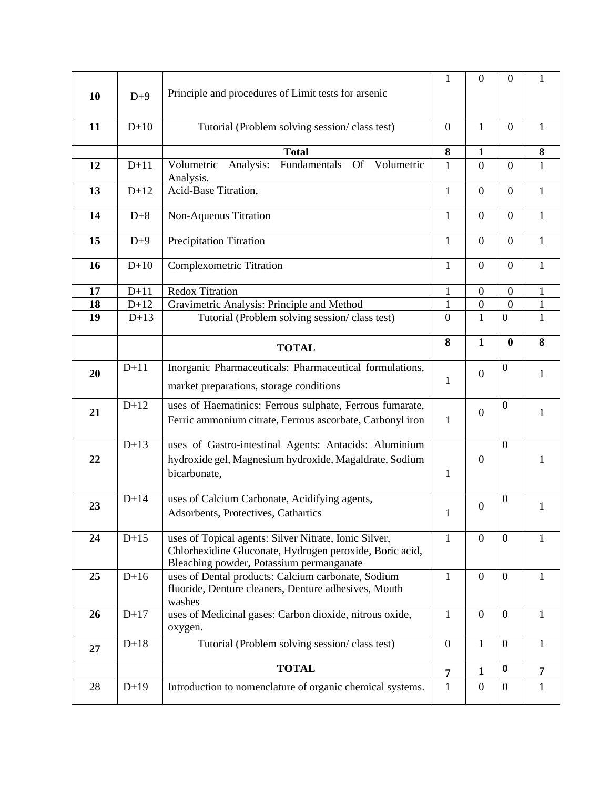| 10 | $D+9$  | Principle and procedures of Limit tests for arsenic                                                        | 1                 | $\boldsymbol{0}$ | $\overline{0}$   | 1              |
|----|--------|------------------------------------------------------------------------------------------------------------|-------------------|------------------|------------------|----------------|
| 11 | $D+10$ | Tutorial (Problem solving session/class test)                                                              | $\overline{0}$    | 1                | $\theta$         | $\mathbf{1}$   |
|    |        | <b>Total</b>                                                                                               | $\bf{8}$          | 1                |                  | ${\bf 8}$      |
| 12 | $D+11$ | Fundamentals<br>Volumetric<br>Analysis:<br>Of Volumetric<br>Analysis.                                      | $\mathbf{1}$      | $\overline{0}$   | $\overline{0}$   | $\mathbf{1}$   |
| 13 | $D+12$ | Acid-Base Titration,                                                                                       | $\mathbf{1}$      | $\overline{0}$   | $\boldsymbol{0}$ | $\mathbf{1}$   |
| 14 | $D+8$  | Non-Aqueous Titration                                                                                      | $\mathbf{1}$      | $\overline{0}$   | $\boldsymbol{0}$ | $\mathbf{1}$   |
| 15 | $D+9$  | Precipitation Titration                                                                                    | $\mathbf{1}$      | $\boldsymbol{0}$ | $\boldsymbol{0}$ | $\mathbf{1}$   |
| 16 | $D+10$ | <b>Complexometric Titration</b>                                                                            | 1                 | $\mathbf{0}$     | $\boldsymbol{0}$ | $\mathbf{1}$   |
| 17 | $D+11$ | <b>Redox Titration</b>                                                                                     | 1                 | $\overline{0}$   | $\overline{0}$   | 1              |
| 18 | $D+12$ | Gravimetric Analysis: Principle and Method                                                                 | $\mathbf{1}$      | $\boldsymbol{0}$ | $\overline{0}$   | $\mathbf{1}$   |
| 19 | $D+13$ | Tutorial (Problem solving session/class test)                                                              | $\theta$          | $\mathbf{1}$     | $\boldsymbol{0}$ | $\mathbf{1}$   |
|    |        |                                                                                                            |                   |                  |                  |                |
|    |        | <b>TOTAL</b>                                                                                               | 8                 | $\mathbf{1}$     | $\bf{0}$         | 8              |
| 20 | $D+11$ | Inorganic Pharmaceuticals: Pharmaceutical formulations,                                                    |                   | $\overline{0}$   | $\boldsymbol{0}$ | 1              |
|    |        | market preparations, storage conditions                                                                    | $\mathbf{1}$      |                  |                  |                |
| 21 | $D+12$ | uses of Haematinics: Ferrous sulphate, Ferrous fumarate,                                                   |                   | $\boldsymbol{0}$ | $\mathbf{0}$     | $\mathbf{1}$   |
|    |        | Ferric ammonium citrate, Ferrous ascorbate, Carbonyl iron                                                  |                   |                  |                  |                |
|    |        |                                                                                                            | $\mathbf{1}$      |                  |                  |                |
|    | $D+13$ | uses of Gastro-intestinal Agents: Antacids: Aluminium                                                      |                   |                  | $\mathbf{0}$     |                |
| 22 |        |                                                                                                            |                   | $\boldsymbol{0}$ |                  | 1              |
|    |        | hydroxide gel, Magnesium hydroxide, Magaldrate, Sodium<br>bicarbonate,                                     | $\mathbf{1}$      |                  |                  |                |
|    |        |                                                                                                            |                   |                  |                  |                |
|    | $D+14$ | uses of Calcium Carbonate, Acidifying agents,                                                              |                   |                  | $\boldsymbol{0}$ |                |
| 23 |        | Adsorbents, Protectives, Cathartics                                                                        | 1                 | $\boldsymbol{0}$ |                  | 1              |
|    |        |                                                                                                            |                   |                  |                  |                |
| 24 | $D+15$ | uses of Topical agents: Silver Nitrate, Ionic Silver,                                                      | $\mathbf{1}$      | $\overline{0}$   | $\overline{0}$   | 1              |
|    |        | Chlorhexidine Gluconate, Hydrogen peroxide, Boric acid,                                                    |                   |                  |                  |                |
|    | $D+16$ | Bleaching powder, Potassium permanganate                                                                   | $\mathbf{1}$      | $\boldsymbol{0}$ | $\overline{0}$   | $\mathbf{1}$   |
| 25 |        | uses of Dental products: Calcium carbonate, Sodium<br>fluoride, Denture cleaners, Denture adhesives, Mouth |                   |                  |                  |                |
|    |        | washes                                                                                                     |                   |                  |                  |                |
| 26 | $D+17$ | uses of Medicinal gases: Carbon dioxide, nitrous oxide,<br>oxygen.                                         | $\mathbf{1}$      | $\overline{0}$   | $\overline{0}$   | $\mathbf{1}$   |
| 27 | $D+18$ | Tutorial (Problem solving session/class test)                                                              | $\overline{0}$    | $\mathbf{1}$     | $\boldsymbol{0}$ | $\mathbf{1}$   |
|    |        | <b>TOTAL</b>                                                                                               |                   | $\mathbf{1}$     | $\boldsymbol{0}$ | $\overline{7}$ |
| 28 | $D+19$ | Introduction to nomenclature of organic chemical systems.                                                  | 7<br>$\mathbf{1}$ | $\boldsymbol{0}$ | $\boldsymbol{0}$ | $\mathbf{1}$   |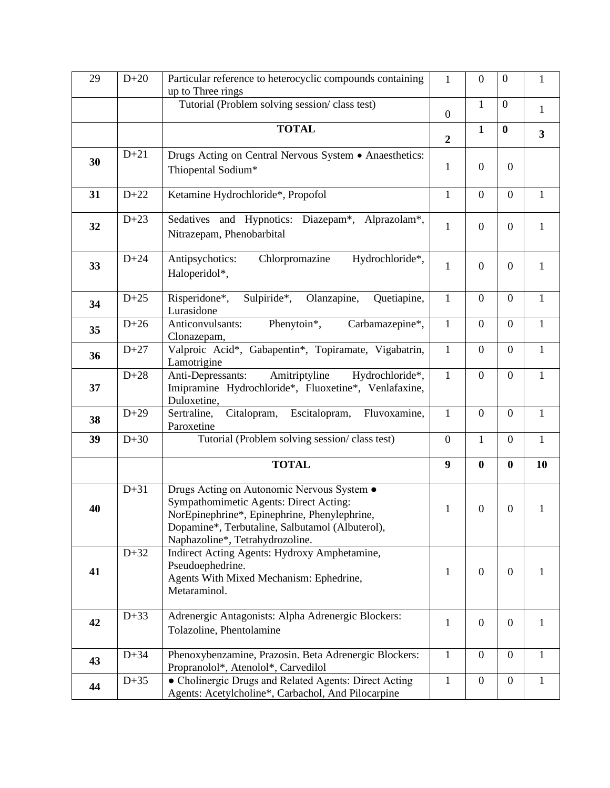| 29 | $D+20$ | Particular reference to heterocyclic compounds containing<br>up to Three rings                                                                                                                                             | $\mathbf{1}$     | $\boldsymbol{0}$ | $\boldsymbol{0}$ | $\mathbf{1}$            |
|----|--------|----------------------------------------------------------------------------------------------------------------------------------------------------------------------------------------------------------------------------|------------------|------------------|------------------|-------------------------|
|    |        | Tutorial (Problem solving session/class test)                                                                                                                                                                              | $\mathbf{0}$     | $\mathbf{1}$     | $\boldsymbol{0}$ | $\mathbf{1}$            |
|    |        | <b>TOTAL</b>                                                                                                                                                                                                               | $\overline{2}$   | $\mathbf{1}$     | $\bf{0}$         | $\overline{\mathbf{3}}$ |
| 30 | $D+21$ | Drugs Acting on Central Nervous System • Anaesthetics:<br>Thiopental Sodium*                                                                                                                                               | $\mathbf{1}$     | $\boldsymbol{0}$ | $\overline{0}$   |                         |
| 31 | $D+22$ | Ketamine Hydrochloride*, Propofol                                                                                                                                                                                          | $\mathbf{1}$     | $\overline{0}$   | $\mathbf{0}$     | $\mathbf{1}$            |
| 32 | $D+23$ | Sedatives and Hypnotics: Diazepam*, Alprazolam*,<br>Nitrazepam, Phenobarbital                                                                                                                                              | $\mathbf{1}$     | $\boldsymbol{0}$ | $\overline{0}$   | $\mathbf{1}$            |
| 33 | $D+24$ | Chlorpromazine<br>Hydrochloride*,<br>Antipsychotics:<br>Haloperidol*,                                                                                                                                                      | $\mathbf{1}$     | $\theta$         | $\mathbf{0}$     | $\mathbf{1}$            |
| 34 | $D+25$ | Sulpiride*,<br>Olanzapine,<br>Risperidone*,<br>Quetiapine,<br>Lurasidone                                                                                                                                                   | $\mathbf{1}$     | $\boldsymbol{0}$ | $\mathbf{0}$     | $\mathbf{1}$            |
| 35 | $D+26$ | Anticonvulsants:<br>Phenytoin*,<br>Carbamazepine*,<br>Clonazepam,                                                                                                                                                          | $\mathbf{1}$     | $\boldsymbol{0}$ | $\mathbf{0}$     | $\mathbf{1}$            |
| 36 | $D+27$ | Valproic Acid*, Gabapentin*, Topiramate, Vigabatrin,<br>Lamotrigine                                                                                                                                                        | $\mathbf{1}$     | $\overline{0}$   | $\overline{0}$   | $\mathbf{1}$            |
| 37 | $D+28$ | Amitriptyline<br>Anti-Depressants:<br>Hydrochloride*,<br>Imipramine Hydrochloride*, Fluoxetine*, Venlafaxine,<br>Duloxetine,                                                                                               | $\mathbf{1}$     | $\overline{0}$   | $\overline{0}$   | $\mathbf{1}$            |
| 38 | $D+29$ | Sertraline,<br>Citalopram, Escitalopram,<br>Fluvoxamine,<br>Paroxetine                                                                                                                                                     | $\mathbf{1}$     | $\boldsymbol{0}$ | $\overline{0}$   | $\mathbf{1}$            |
| 39 | $D+30$ | Tutorial (Problem solving session/class test)                                                                                                                                                                              | $\overline{0}$   | $\mathbf{1}$     | $\boldsymbol{0}$ | $\mathbf{1}$            |
|    |        | <b>TOTAL</b>                                                                                                                                                                                                               | $\boldsymbol{9}$ | $\bf{0}$         | $\bf{0}$         | 10                      |
| 40 | $D+31$ | Drugs Acting on Autonomic Nervous System .<br>Sympathomimetic Agents: Direct Acting:<br>NorEpinephrine*, Epinephrine, Phenylephrine,<br>Dopamine*, Terbutaline, Salbutamol (Albuterol),<br>Naphazoline*, Tetrahydrozoline. | $\mathbf{1}$     | $\boldsymbol{0}$ | $\boldsymbol{0}$ | $\mathbf{1}$            |
| 41 | $D+32$ | Indirect Acting Agents: Hydroxy Amphetamine,<br>Pseudoephedrine.<br>Agents With Mixed Mechanism: Ephedrine,<br>Metaraminol.                                                                                                | 1                | $\theta$         | $\overline{0}$   | 1                       |
| 42 | $D+33$ | Adrenergic Antagonists: Alpha Adrenergic Blockers:<br>Tolazoline, Phentolamine                                                                                                                                             | $\mathbf{1}$     | $\boldsymbol{0}$ | $\mathbf{0}$     | 1                       |
| 43 | $D+34$ | Phenoxybenzamine, Prazosin. Beta Adrenergic Blockers:<br>Propranolol*, Atenolol*, Carvedilol                                                                                                                               | $\mathbf{1}$     | $\boldsymbol{0}$ | $\mathbf{0}$     | $\mathbf{1}$            |
| 44 | $D+35$ | • Cholinergic Drugs and Related Agents: Direct Acting<br>Agents: Acetylcholine*, Carbachol, And Pilocarpine                                                                                                                | $\mathbf{1}$     | $\boldsymbol{0}$ | $\overline{0}$   | 1                       |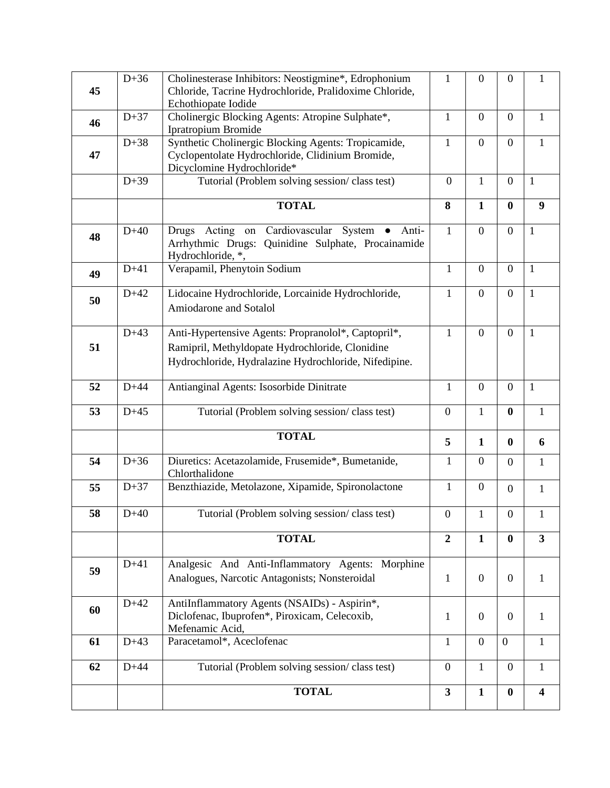| 45 | $D+36$ | Cholinesterase Inhibitors: Neostigmine*, Edrophonium<br>Chloride, Tacrine Hydrochloride, Pralidoxime Chloride,<br>Echothiopate Iodide                           | $\mathbf{1}$     | $\boldsymbol{0}$ | $\boldsymbol{0}$ | $\mathbf{1}$            |
|----|--------|-----------------------------------------------------------------------------------------------------------------------------------------------------------------|------------------|------------------|------------------|-------------------------|
| 46 | $D+37$ | Cholinergic Blocking Agents: Atropine Sulphate*,<br>Ipratropium Bromide                                                                                         | $\mathbf{1}$     | $\overline{0}$   | $\boldsymbol{0}$ | $\mathbf{1}$            |
| 47 | $D+38$ | Synthetic Cholinergic Blocking Agents: Tropicamide,<br>Cyclopentolate Hydrochloride, Clidinium Bromide,<br>Dicyclomine Hydrochloride*                           | $\mathbf{1}$     | $\mathbf{0}$     | $\boldsymbol{0}$ | $\mathbf{1}$            |
|    | $D+39$ | Tutorial (Problem solving session/class test)                                                                                                                   | $\mathbf{0}$     | $\mathbf{1}$     | $\boldsymbol{0}$ | $\mathbf{1}$            |
|    |        | <b>TOTAL</b>                                                                                                                                                    | 8                | $\mathbf{1}$     | $\bf{0}$         | 9                       |
| 48 | $D+40$ | Drugs Acting on Cardiovascular System • Anti-<br>Arrhythmic Drugs: Quinidine Sulphate, Procainamide<br>Hydrochloride, *,                                        | $\mathbf{1}$     | $\overline{0}$   | $\boldsymbol{0}$ | $\mathbf{1}$            |
| 49 | $D+41$ | Verapamil, Phenytoin Sodium                                                                                                                                     | $\mathbf{1}$     | $\boldsymbol{0}$ | $\boldsymbol{0}$ | $\mathbf{1}$            |
| 50 | $D+42$ | Lidocaine Hydrochloride, Lorcainide Hydrochloride,<br><b>Amiodarone and Sotalol</b>                                                                             | 1                | $\boldsymbol{0}$ | $\boldsymbol{0}$ | $\mathbf{1}$            |
| 51 | $D+43$ | Anti-Hypertensive Agents: Propranolol*, Captopril*,<br>Ramipril, Methyldopate Hydrochloride, Clonidine<br>Hydrochloride, Hydralazine Hydrochloride, Nifedipine. | $\mathbf{1}$     | $\overline{0}$   | $\overline{0}$   | $\mathbf{1}$            |
| 52 | $D+44$ | Antianginal Agents: Isosorbide Dinitrate                                                                                                                        | 1                | $\overline{0}$   | $\boldsymbol{0}$ | $\mathbf{1}$            |
| 53 | $D+45$ | Tutorial (Problem solving session/class test)                                                                                                                   | $\boldsymbol{0}$ | $\mathbf{1}$     | $\bf{0}$         | $\mathbf{1}$            |
|    |        | <b>TOTAL</b>                                                                                                                                                    | 5                | $\mathbf{1}$     | $\bf{0}$         | 6                       |
| 54 | $D+36$ | Diuretics: Acetazolamide, Frusemide*, Bumetanide,<br>Chlorthalidone                                                                                             | $\mathbf{1}$     | $\overline{0}$   | $\boldsymbol{0}$ | $\mathbf{1}$            |
| 55 | $D+37$ | Benzthiazide, Metolazone, Xipamide, Spironolactone                                                                                                              | $\mathbf{1}$     | $\mathbf{0}$     | $\boldsymbol{0}$ | $\mathbf{1}$            |
| 58 | $D+40$ | Tutorial (Problem solving session/class test)                                                                                                                   | $\overline{0}$   |                  | $\mathbf{0}$     |                         |
|    |        | <b>TOTAL</b>                                                                                                                                                    | $\overline{2}$   | $\mathbf{1}$     | $\bf{0}$         | $\overline{3}$          |
| 59 | $D+41$ | Analgesic And Anti-Inflammatory Agents: Morphine<br>Analogues, Narcotic Antagonists; Nonsteroidal                                                               | $\mathbf{1}$     | $\overline{0}$   | $\boldsymbol{0}$ | 1                       |
| 60 | $D+42$ | AntiInflammatory Agents (NSAIDs) - Aspirin*,<br>Diclofenac, Ibuprofen*, Piroxicam, Celecoxib,<br>Mefenamic Acid,                                                | $\mathbf{1}$     | $\mathbf{0}$     | $\boldsymbol{0}$ | $\mathbf{1}$            |
| 61 | $D+43$ | Paracetamol*, Aceclofenac                                                                                                                                       | $\mathbf{1}$     | $\overline{0}$   | $\mathbf{0}$     | $\mathbf{1}$            |
| 62 | $D+44$ | Tutorial (Problem solving session/class test)                                                                                                                   | $\overline{0}$   | $\mathbf{1}$     | $\overline{0}$   | $\mathbf{1}$            |
|    |        | <b>TOTAL</b>                                                                                                                                                    | $\mathbf{3}$     | $\mathbf{1}$     | $\bf{0}$         | $\overline{\mathbf{4}}$ |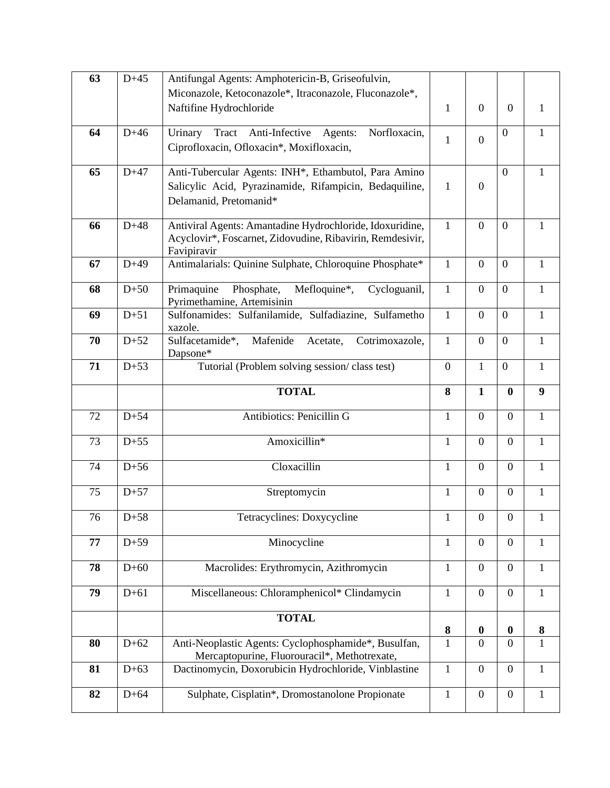| 63 | $D+45$ | Antifungal Agents: Amphotericin-B, Griseofulvin,                                    |                |                  |                  |                  |
|----|--------|-------------------------------------------------------------------------------------|----------------|------------------|------------------|------------------|
|    |        | Miconazole, Ketoconazole*, Itraconazole, Fluconazole*,                              |                |                  |                  |                  |
|    |        | Naftifine Hydrochloride                                                             | $\mathbf{1}$   | $\overline{0}$   | $\overline{0}$   | 1                |
| 64 | $D+46$ | Tract<br>Anti-Infective Agents:<br>Urinary<br>Norfloxacin,                          | $\mathbf{1}$   | $\mathbf{0}$     | $\boldsymbol{0}$ | $\mathbf{1}$     |
|    |        | Ciprofloxacin, Ofloxacin*, Moxifloxacin,                                            |                |                  |                  |                  |
| 65 | $D+47$ | Anti-Tubercular Agents: INH*, Ethambutol, Para Amino                                |                |                  | $\boldsymbol{0}$ | $\mathbf{1}$     |
|    |        | Salicylic Acid, Pyrazinamide, Rifampicin, Bedaquiline,                              | $\mathbf{1}$   | $\mathbf{0}$     |                  |                  |
|    |        | Delamanid, Pretomanid*                                                              |                |                  |                  |                  |
| 66 | $D+48$ | Antiviral Agents: Amantadine Hydrochloride, Idoxuridine,                            | $\mathbf{1}$   | $\overline{0}$   | $\boldsymbol{0}$ | $\mathbf{1}$     |
|    |        | Acyclovir*, Foscarnet, Zidovudine, Ribavirin, Remdesivir,                           |                |                  |                  |                  |
| 67 | $D+49$ | Favipiravir<br>Antimalarials: Quinine Sulphate, Chloroquine Phosphate*              | $\mathbf{1}$   | $\overline{0}$   | $\boldsymbol{0}$ | $\mathbf{1}$     |
|    |        |                                                                                     |                |                  |                  |                  |
| 68 | $D+50$ | Primaquine<br>Phosphate,<br>Mefloquine*,<br>Cycloguanil,                            | $\mathbf{1}$   | $\overline{0}$   | $\boldsymbol{0}$ | $\mathbf{1}$     |
| 69 | $D+51$ | Pyrimethamine, Artemisinin<br>Sulfonamides: Sulfanilamide, Sulfadiazine, Sulfametho | $\mathbf{1}$   | $\overline{0}$   | $\overline{0}$   | $\mathbf{1}$     |
|    |        | xazole.                                                                             |                |                  |                  |                  |
| 70 | $D+52$ | Sulfacetamide*,<br>Mafenide<br>Acetate,<br>Cotrimoxazole,                           | $\mathbf{1}$   | $\mathbf{0}$     | $\boldsymbol{0}$ | $\mathbf{1}$     |
| 71 | $D+53$ | Dapsone*                                                                            | $\overline{0}$ | $\mathbf{1}$     | $\boldsymbol{0}$ | $\mathbf{1}$     |
|    |        | Tutorial (Problem solving session/class test)                                       |                |                  |                  |                  |
|    |        | <b>TOTAL</b>                                                                        | 8              | $\mathbf{1}$     | $\bf{0}$         | $\boldsymbol{9}$ |
| 72 | $D+54$ | Antibiotics: Penicillin G                                                           | $\mathbf{1}$   | $\overline{0}$   | $\overline{0}$   | $\mathbf{1}$     |
| 73 | $D+55$ | Amoxicillin*                                                                        | $\mathbf{1}$   | $\mathbf{0}$     | $\overline{0}$   | $\mathbf{1}$     |
| 74 | $D+56$ | Cloxacillin                                                                         | 1              | $\overline{0}$   | $\theta$         | $\mathbf{1}$     |
| 75 | $D+57$ | Streptomycin                                                                        | $\mathbf{1}$   | $\overline{0}$   | $\overline{0}$   | $\mathbf{1}$     |
| 76 | $D+58$ | Tetracyclines: Doxycycline                                                          | $\mathbf{1}$   | $\overline{0}$   | $\mathbf{0}$     | $\mathbf{1}$     |
| 77 | $D+59$ | Minocycline                                                                         | $\mathbf{1}$   | $\overline{0}$   | $\boldsymbol{0}$ | $\mathbf{1}$     |
|    |        |                                                                                     |                |                  |                  |                  |
| 78 | $D+60$ | Macrolides: Erythromycin, Azithromycin                                              | $\mathbf{1}$   | $\overline{0}$   | $\boldsymbol{0}$ | $\mathbf{1}$     |
| 79 | $D+61$ | Miscellaneous: Chloramphenicol* Clindamycin                                         | $\mathbf{1}$   | $\mathbf{0}$     | $\boldsymbol{0}$ | $\mathbf{1}$     |
|    |        | <b>TOTAL</b>                                                                        | 8              | $\boldsymbol{0}$ | $\boldsymbol{0}$ | $\boldsymbol{8}$ |
| 80 | $D+62$ | Anti-Neoplastic Agents: Cyclophosphamide*, Busulfan,                                | 1              | $\theta$         | $\overline{0}$   | $\mathbf{1}$     |
|    |        | Mercaptopurine, Fluorouracil*, Methotrexate,                                        |                |                  |                  |                  |
| 81 | $D+63$ | Dactinomycin, Doxorubicin Hydrochloride, Vinblastine                                | $\mathbf{1}$   | $\mathbf{0}$     | $\boldsymbol{0}$ | $\mathbf{1}$     |
| 82 | $D+64$ | Sulphate, Cisplatin*, Dromostanolone Propionate                                     | $\mathbf{1}$   | $\boldsymbol{0}$ | $\boldsymbol{0}$ | $\mathbf{1}$     |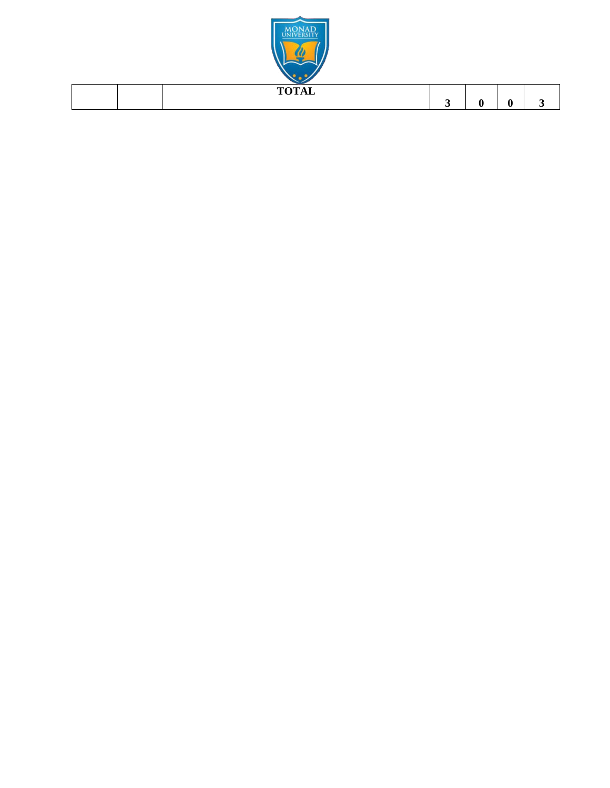

| $T0$ $T0$ $T1$<br><u>.</u><br>- |  |  |
|---------------------------------|--|--|
|                                 |  |  |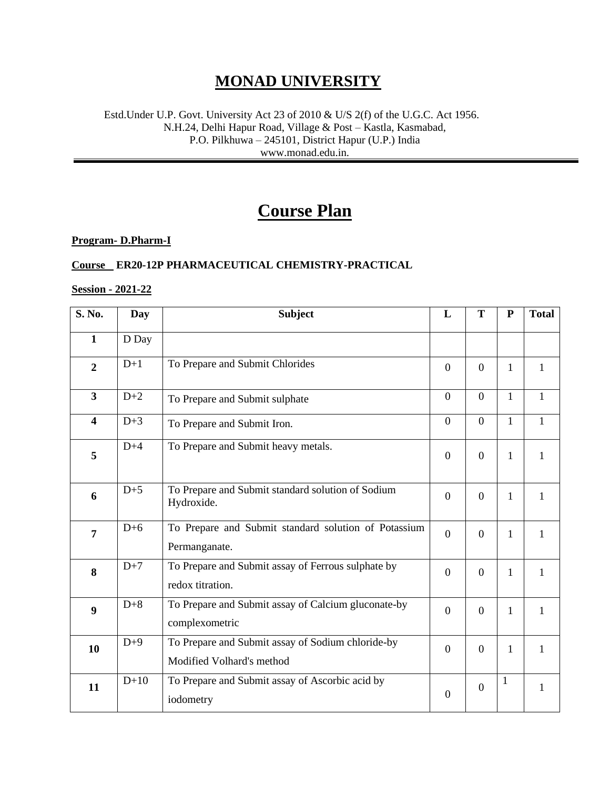### **MONAD UNIVERSITY**

#### Estd.Under U.P. Govt. University Act 23 of 2010 & U/S 2(f) of the U.G.C. Act 1956. N.H.24, Delhi Hapur Road, Village & Post – Kastla, Kasmabad, P.O. Pilkhuwa – 245101, District Hapur (U.P.) India www.monad.edu.in.

## **Course Plan**

#### **Program- D.Pharm-I**

#### **Course ER20-12P PHARMACEUTICAL CHEMISTRY-PRACTICAL**

#### **Session - 2021-22**

| S. No.                  | Day    | <b>Subject</b>                                                                 | L                | T              | ${\bf P}$    | <b>Total</b> |
|-------------------------|--------|--------------------------------------------------------------------------------|------------------|----------------|--------------|--------------|
| $\mathbf{1}$            | D Day  |                                                                                |                  |                |              |              |
| $\overline{2}$          | $D+1$  | To Prepare and Submit Chlorides                                                | $\boldsymbol{0}$ | $\overline{0}$ | 1            | $\mathbf{1}$ |
| $\overline{\mathbf{3}}$ | $D+2$  | To Prepare and Submit sulphate                                                 | $\overline{0}$   | $\overline{0}$ | $\mathbf{1}$ | $\mathbf{1}$ |
| $\overline{\mathbf{4}}$ | $D+3$  | To Prepare and Submit Iron.                                                    | $\overline{0}$   | $\overline{0}$ | 1            | 1            |
| 5                       | $D+4$  | To Prepare and Submit heavy metals.                                            | $\boldsymbol{0}$ | $\overline{0}$ | 1            | $\mathbf{1}$ |
| 6                       | $D+5$  | To Prepare and Submit standard solution of Sodium<br>Hydroxide.                | $\overline{0}$   | $\Omega$       | 1            | 1            |
| $\overline{7}$          | $D+6$  | To Prepare and Submit standard solution of Potassium<br>Permanganate.          | $\overline{0}$   | $\overline{0}$ | 1            | $\mathbf{1}$ |
| 8                       | $D+7$  | To Prepare and Submit assay of Ferrous sulphate by<br>redox titration.         | $\boldsymbol{0}$ | $\overline{0}$ | 1            | 1            |
| 9                       | $D+8$  | To Prepare and Submit assay of Calcium gluconate-by<br>complexometric          | $\overline{0}$   | $\overline{0}$ | 1            | $\mathbf{1}$ |
| 10                      | $D+9$  | To Prepare and Submit assay of Sodium chloride-by<br>Modified Volhard's method | $\overline{0}$   | $\Omega$       | 1            | $\mathbf{1}$ |
| 11                      | $D+10$ | To Prepare and Submit assay of Ascorbic acid by<br>iodometry                   | $\boldsymbol{0}$ | $\overline{0}$ | $\mathbf 1$  | 1            |